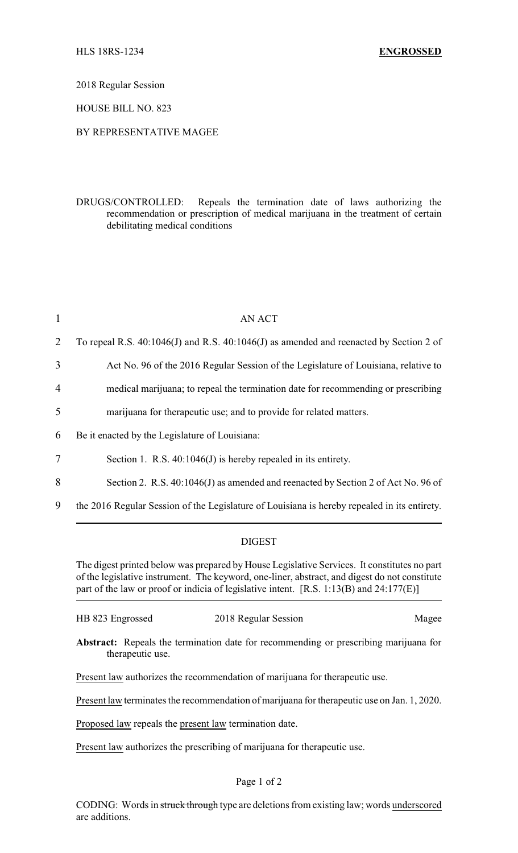2018 Regular Session

HOUSE BILL NO. 823

## BY REPRESENTATIVE MAGEE

DRUGS/CONTROLLED: Repeals the termination date of laws authorizing the recommendation or prescription of medical marijuana in the treatment of certain debilitating medical conditions

| $\mathbf{1}$   | <b>AN ACT</b>                                                                                |
|----------------|----------------------------------------------------------------------------------------------|
| 2              | To repeal R.S. 40:1046(J) and R.S. 40:1046(J) as amended and reenacted by Section 2 of       |
| 3              | Act No. 96 of the 2016 Regular Session of the Legislature of Louisiana, relative to          |
| $\overline{4}$ | medical marijuana; to repeal the termination date for recommending or prescribing            |
| 5              | marijuana for therapeutic use; and to provide for related matters.                           |
| 6              | Be it enacted by the Legislature of Louisiana:                                               |
| 7              | Section 1. R.S. $40:1046(J)$ is hereby repealed in its entirety.                             |
| 8              | Section 2. R.S. 40:1046(J) as amended and reenacted by Section 2 of Act No. 96 of            |
| 9              | the 2016 Regular Session of the Legislature of Louisiana is hereby repealed in its entirety. |

## DIGEST

The digest printed below was prepared by House Legislative Services. It constitutes no part of the legislative instrument. The keyword, one-liner, abstract, and digest do not constitute part of the law or proof or indicia of legislative intent. [R.S. 1:13(B) and 24:177(E)]

| HB 823 Engrossed | 2018 Regular Session | Magee |
|------------------|----------------------|-------|
|------------------|----------------------|-------|

**Abstract:** Repeals the termination date for recommending or prescribing marijuana for therapeutic use.

Present law authorizes the recommendation of marijuana for therapeutic use.

Present law terminates the recommendation of marijuana for therapeutic use on Jan. 1, 2020.

Proposed law repeals the present law termination date.

Present law authorizes the prescribing of marijuana for therapeutic use.